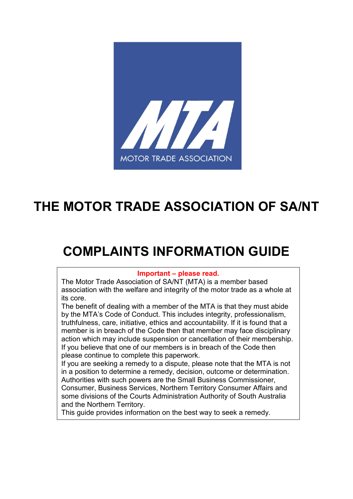

# **THE MOTOR TRADE ASSOCIATION OF SA/NT**

# **COMPLAINTS INFORMATION GUIDE**

#### **Important – please read.**

The Motor Trade Association of SA/NT (MTA) is a member based association with the welfare and integrity of the motor trade as a whole at its core.

The benefit of dealing with a member of the MTA is that they must abide by the MTA's Code of Conduct. This includes integrity, professionalism, truthfulness, care, initiative, ethics and accountability. If it is found that a member is in breach of the Code then that member may face disciplinary action which may include suspension or cancellation of their membership. If you believe that one of our members is in breach of the Code then please continue to complete this paperwork.

If you are seeking a remedy to a dispute, please note that the MTA is not in a position to determine a remedy, decision, outcome or determination. Authorities with such powers are the Small Business Commissioner, Consumer, Business Services, Northern Territory Consumer Affairs and some divisions of the Courts Administration Authority of South Australia and the Northern Territory.

This guide provides information on the best way to seek a remedy.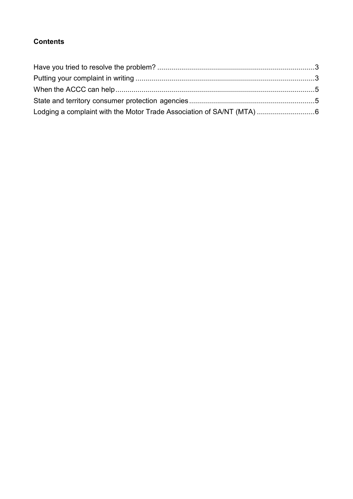# **Contents**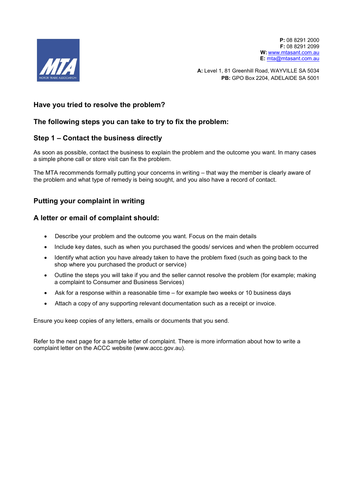

**P:** 08 8291 2000 **F:** 08 8291 2099 **W:** [www.mtasant.com.au](http://www.mtasant.com.au/) **E:** [mta@mtasant.com.au](mailto:mta@mtasant.com.au)

**A:** Level 1, 81 Greenhill Road, WAYVILLE SA 5034 **PB:** GPO Box 2204, ADELAIDE SA 5001

#### <span id="page-2-0"></span>**Have you tried to resolve the problem?**

#### **The following steps you can take to try to fix the problem:**

#### **Step 1 – Contact the business directly**

As soon as possible, contact the business to explain the problem and the outcome you want. In many cases a simple phone call or store visit can fix the problem.

The MTA recommends formally putting your concerns in writing – that way the member is clearly aware of the problem and what type of remedy is being sought, and you also have a record of contact.

#### <span id="page-2-1"></span>**Putting your complaint in writing**

#### **A letter or email of complaint should:**

- Describe your problem and the outcome you want. Focus on the main details
- Include key dates, such as when you purchased the goods/ services and when the problem occurred
- Identify what action you have already taken to have the problem fixed (such as going back to the shop where you purchased the product or service)
- Outline the steps you will take if you and the seller cannot resolve the problem (for example; making a complaint to Consumer and Business Services)
- Ask for a response within a reasonable time for example two weeks or 10 business days
- Attach a copy of any supporting relevant documentation such as a receipt or invoice.

Ensure you keep copies of any letters, emails or documents that you send.

Refer to the next page for a sample letter of complaint. There is more information about how to write a complaint letter on the ACCC website (www.accc.gov.au).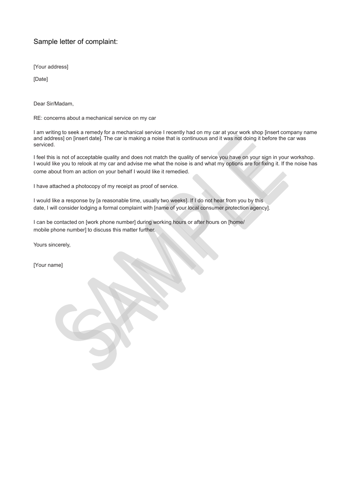### Sample letter of complaint:

[Your address]

[Date]

Dear Sir/Madam,

RE: concerns about a mechanical service on my car

I am writing to seek a remedy for a mechanical service I recently had on my car at your work shop [insert company name and address] on [insert date]. The car is making a noise that is continuous and it was not doing it before the car was serviced.

I feel this is not of acceptable quality and does not match the quality of service you have on your sign in your workshop. I would like you to relook at my car and advise me what the noise is and what my options are for fixing it. If the noise has come about from an action on your behalf I would like it remedied.

I have attached a photocopy of my receipt as proof of service.

I would like a response by [a reasonable time, usually two weeks]. If I do not hear from you by this date, I will consider lodging a formal complaint with [name of your local consumer protection agency].

I can be contacted on [work phone number] during working hours or after hours on [home/ mobile phone number] to discuss this matter further.

Yours sincerely,

[Your name]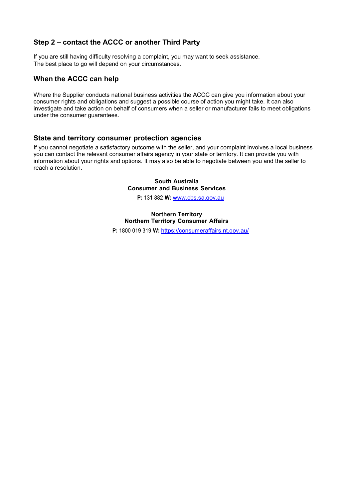#### **Step 2 – contact the ACCC or another Third Party**

If you are still having difficulty resolving a complaint, you may want to seek assistance. The best place to go will depend on your circumstances.

#### <span id="page-4-0"></span>**When the ACCC can help**

Where the Supplier conducts national business activities the ACCC can give you information about your consumer rights and obligations and suggest a possible course of action you might take. It can also investigate and take action on behalf of consumers when a seller or manufacturer fails to meet obligations under the consumer guarantees.

#### <span id="page-4-1"></span>**State and territory consumer protection agencies**

If you cannot negotiate a satisfactory outcome with the seller, and your complaint involves a local business you can contact the relevant consumer affairs agency in your state or territory. It can provide you with information about your rights and options. It may also be able to negotiate between you and the seller to reach a resolution.

#### **South Australia Consumer and Business Services**

**P:** 131 882 **W:** [www.cbs.sa.gov.au](http://www.cbs.sa.gov.au/)

#### **Northern Territory Northern Territory Consumer Affairs**

**P:** 1800 019 319 **W:** <https://consumeraffairs.nt.gov.au/>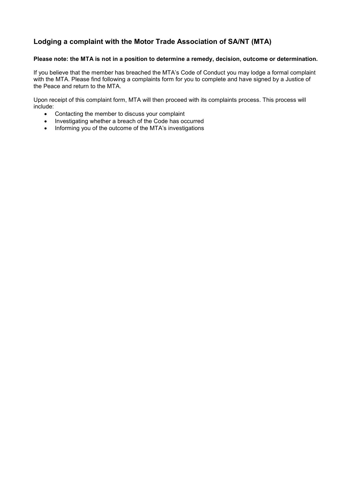## <span id="page-5-0"></span>**Lodging a complaint with the Motor Trade Association of SA/NT (MTA)**

#### **Please note: the MTA is not in a position to determine a remedy, decision, outcome or determination.**

If you believe that the member has breached the MTA's Code of Conduct you may lodge a formal complaint with the MTA. Please find following a complaints form for you to complete and have signed by a Justice of the Peace and return to the MTA.

Upon receipt of this complaint form, MTA will then proceed with its complaints process. This process will include:

- Contacting the member to discuss your complaint
- Investigating whether a breach of the Code has occurred
- Informing you of the outcome of the MTA's investigations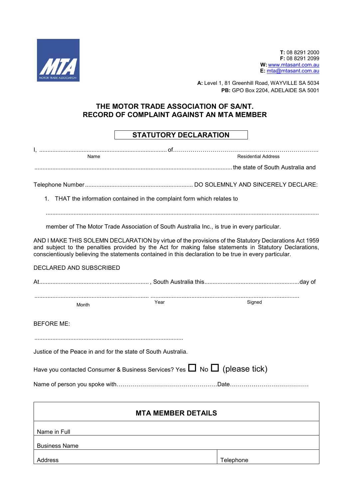

**T:** 08 8291 2000 **F:** 08 8291 2099 **W:** [www.mtasant.com.au](http://www.mtasant.com.au/) **E:** [mta@mtasant.com.au](mailto:mta@mtasant.com.au)

**A:** Level 1, 81 Greenhill Road, WAYVILLE SA 5034 **PB:** GPO Box 2204, ADELAIDE SA 5001

### **THE MOTOR TRADE ASSOCIATION OF SA/NT. RECORD OF COMPLAINT AGAINST AN MTA MEMBER**

## **STATUTORY DECLARATION**

| Name                                                                                | <b>Residential Address</b> |                                                                                                                                                                                                                                                                                                                            |  |  |  |
|-------------------------------------------------------------------------------------|----------------------------|----------------------------------------------------------------------------------------------------------------------------------------------------------------------------------------------------------------------------------------------------------------------------------------------------------------------------|--|--|--|
|                                                                                     |                            |                                                                                                                                                                                                                                                                                                                            |  |  |  |
|                                                                                     |                            |                                                                                                                                                                                                                                                                                                                            |  |  |  |
| 1. THAT the information contained in the complaint form which relates to            |                            |                                                                                                                                                                                                                                                                                                                            |  |  |  |
|                                                                                     |                            | member of The Motor Trade Association of South Australia Inc., is true in every particular.                                                                                                                                                                                                                                |  |  |  |
|                                                                                     |                            | AND I MAKE THIS SOLEMN DECLARATION by virtue of the provisions of the Statutory Declarations Act 1959<br>and subject to the penalties provided by the Act for making false statements in Statutory Declarations,<br>conscientiously believing the statements contained in this declaration to be true in every particular. |  |  |  |
| DECLARED AND SUBSCRIBED                                                             |                            |                                                                                                                                                                                                                                                                                                                            |  |  |  |
|                                                                                     |                            |                                                                                                                                                                                                                                                                                                                            |  |  |  |
| Month                                                                               | Year                       | Signed                                                                                                                                                                                                                                                                                                                     |  |  |  |
| <b>BEFORE ME:</b>                                                                   |                            |                                                                                                                                                                                                                                                                                                                            |  |  |  |
| Justice of the Peace in and for the state of South Australia.                       |                            |                                                                                                                                                                                                                                                                                                                            |  |  |  |
| Have you contacted Consumer & Business Services? Yes $\Box$ No $\Box$ (please tick) |                            |                                                                                                                                                                                                                                                                                                                            |  |  |  |
|                                                                                     |                            |                                                                                                                                                                                                                                                                                                                            |  |  |  |
| MTA MEMDED RETAILO                                                                  |                            |                                                                                                                                                                                                                                                                                                                            |  |  |  |

| <b>MTA MEMBER DETAILS</b> |           |  |  |  |  |
|---------------------------|-----------|--|--|--|--|
| Name in Full              |           |  |  |  |  |
| <b>Business Name</b>      |           |  |  |  |  |
| Address                   | Telephone |  |  |  |  |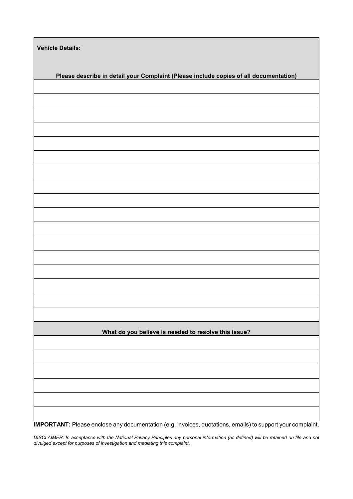| <b>Vehicle Details:</b>                                                               |  |  |  |  |  |
|---------------------------------------------------------------------------------------|--|--|--|--|--|
| Please describe in detail your Complaint (Please include copies of all documentation) |  |  |  |  |  |
|                                                                                       |  |  |  |  |  |
|                                                                                       |  |  |  |  |  |
|                                                                                       |  |  |  |  |  |
|                                                                                       |  |  |  |  |  |
|                                                                                       |  |  |  |  |  |
|                                                                                       |  |  |  |  |  |
|                                                                                       |  |  |  |  |  |
|                                                                                       |  |  |  |  |  |
|                                                                                       |  |  |  |  |  |
|                                                                                       |  |  |  |  |  |
|                                                                                       |  |  |  |  |  |
|                                                                                       |  |  |  |  |  |
|                                                                                       |  |  |  |  |  |
|                                                                                       |  |  |  |  |  |
|                                                                                       |  |  |  |  |  |
|                                                                                       |  |  |  |  |  |
|                                                                                       |  |  |  |  |  |
| What do you believe is needed to resolve this issue?                                  |  |  |  |  |  |
|                                                                                       |  |  |  |  |  |
|                                                                                       |  |  |  |  |  |
|                                                                                       |  |  |  |  |  |
|                                                                                       |  |  |  |  |  |
|                                                                                       |  |  |  |  |  |
|                                                                                       |  |  |  |  |  |

**IMPORTANT:** Please enclose any documentation (e.g. invoices, quotations, emails) to support your complaint.

*DISCLAIMER: In acceptance with the National Privacy Principles any personal information (as defined) will be retained on file and not divulged except for purposes of investigation and mediating this complaint*.